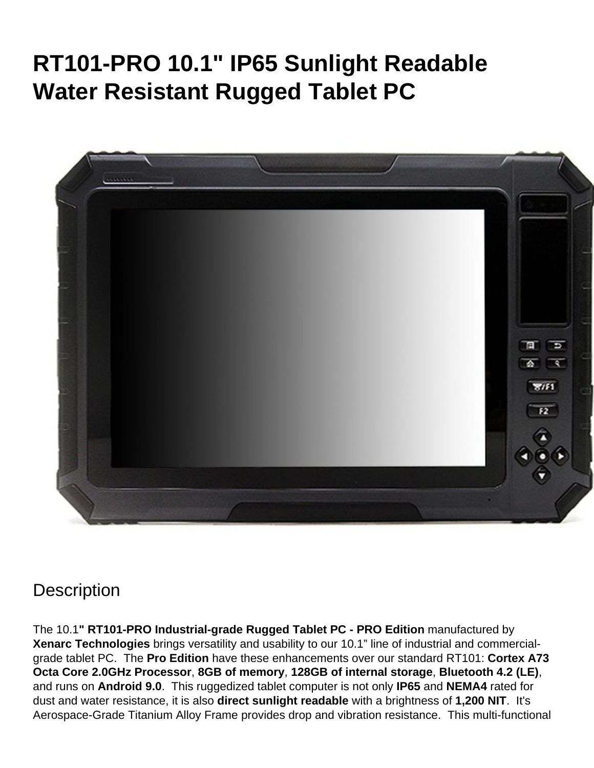# **RT101-PRO 10.1" IP65 Sunlight Readable Water Resistant Rugged Tablet PC**



# **Description**

The 10.1**" RT101-PRO Industrial-grade Rugged Tablet PC - PRO Edition** manufactured by **Xenarc Technologies** brings versatility and usability to our 10.1" line of industrial and commercialgrade tablet PC. The **Pro Edition** have these enhancements over our standard RT101: **Cortex A73 Octa Core 2.0GHz Processor**, **8GB of memory**, **128GB of internal storage**, **Bluetooth 4.2 (LE)**, and runs on **Android 9.0**. This ruggedized tablet computer is not only **IP65** and **NEMA4** rated for dust and water resistance, it is also **direct sunlight readable** with a brightness of **1,200 NIT**. It's Aerospace-Grade Titanium Alloy Frame provides drop and vibration resistance. This multi-functional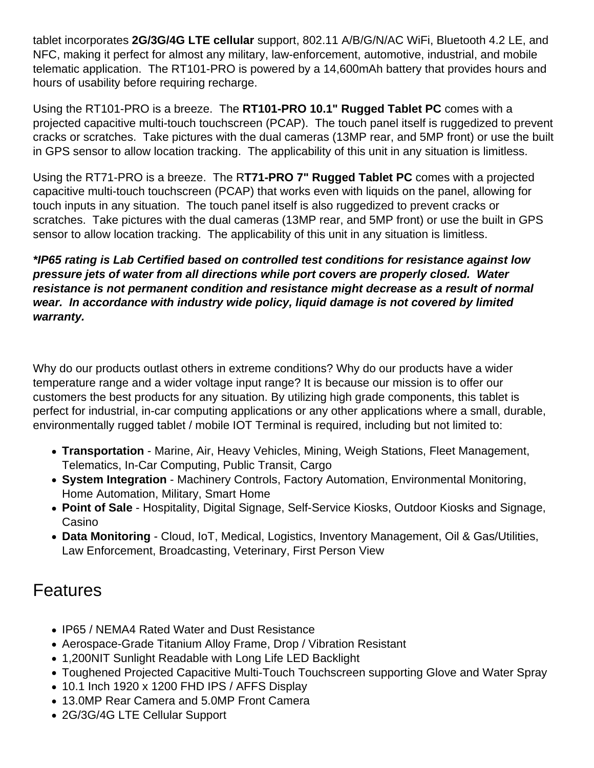tablet incorporates **2G/3G/4G LTE cellular** support, 802.11 A/B/G/N/AC WiFi, Bluetooth 4.2 LE, and NFC, making it perfect for almost any military, law-enforcement, automotive, industrial, and mobile telematic application. The RT101-PRO is powered by a 14,600mAh battery that provides hours and hours of usability before requiring recharge.

Using the RT101-PRO is a breeze. The **RT101-PRO 10.1" Rugged Tablet PC** comes with a projected capacitive multi-touch touchscreen (PCAP). The touch panel itself is ruggedized to prevent cracks or scratches. Take pictures with the dual cameras (13MP rear, and 5MP front) or use the built in GPS sensor to allow location tracking. The applicability of this unit in any situation is limitless.

Using the RT71-PRO is a breeze. The R**T71-PRO 7" Rugged Tablet PC** comes with a projected capacitive multi-touch touchscreen (PCAP) that works even with liquids on the panel, allowing for touch inputs in any situation. The touch panel itself is also ruggedized to prevent cracks or scratches. Take pictures with the dual cameras (13MP rear, and 5MP front) or use the built in GPS sensor to allow location tracking. The applicability of this unit in any situation is limitless.

#### **\*IP65 rating is Lab Certified based on controlled test conditions for resistance against low pressure jets of water from all directions while port covers are properly closed. Water resistance is not permanent condition and resistance might decrease as a result of normal wear. In accordance with industry wide policy, liquid damage is not covered by limited warranty.**

Why do our products outlast others in extreme conditions? Why do our products have a wider temperature range and a wider voltage input range? It is because our mission is to offer our customers the best products for any situation. By utilizing high grade components, this tablet is perfect for industrial, in-car computing applications or any other applications where a small, durable, environmentally rugged tablet / mobile IOT Terminal is required, including but not limited to:

- **Transportation** Marine, Air, Heavy Vehicles, Mining, Weigh Stations, Fleet Management, Telematics, In-Car Computing, Public Transit, Cargo
- **System Integration** Machinery Controls, Factory Automation, Environmental Monitoring, Home Automation, Military, Smart Home
- **Point of Sale** Hospitality, Digital Signage, Self-Service Kiosks, Outdoor Kiosks and Signage, Casino
- **Data Monitoring** Cloud, IoT, Medical, Logistics, Inventory Management, Oil & Gas/Utilities, Law Enforcement, Broadcasting, Veterinary, First Person View

### Features

- IP65 / NEMA4 Rated Water and Dust Resistance
- Aerospace-Grade Titanium Alloy Frame, Drop / Vibration Resistant
- 1,200NIT Sunlight Readable with Long Life LED Backlight
- Toughened Projected Capacitive Multi-Touch Touchscreen supporting Glove and Water Spray
- $\bullet$  10.1 Inch 1920 x 1200 FHD IPS / AFFS Display
- 13.0MP Rear Camera and 5.0MP Front Camera
- 2G/3G/4G LTE Cellular Support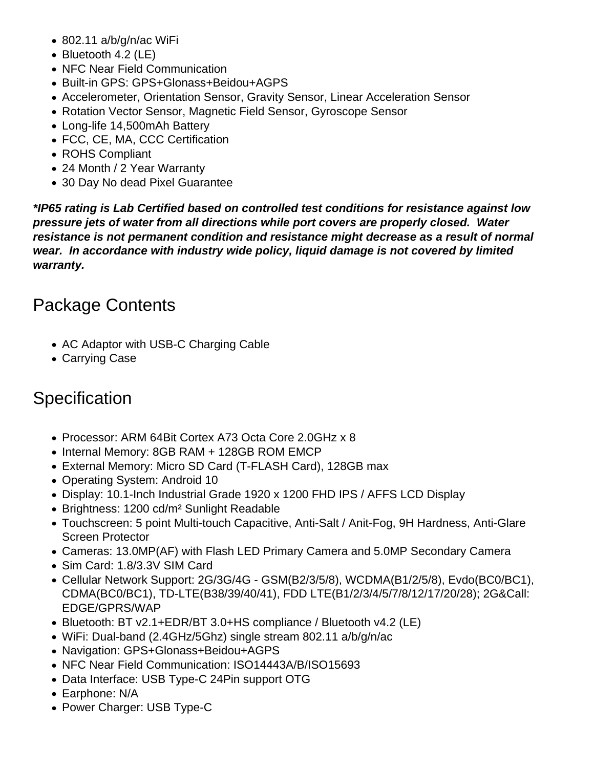- 802.11 a/b/g/n/ac WiFi
- Bluetooth 4.2 (LE)
- NFC Near Field Communication
- Built-in GPS: GPS+Glonass+Beidou+AGPS
- Accelerometer, Orientation Sensor, Gravity Sensor, Linear Acceleration Sensor
- Rotation Vector Sensor, Magnetic Field Sensor, Gyroscope Sensor
- Long-life 14,500mAh Battery
- FCC, CE, MA, CCC Certification
- ROHS Compliant
- 24 Month / 2 Year Warranty
- 30 Day No dead Pixel Guarantee

**\*IP65 rating is Lab Certified based on controlled test conditions for resistance against low pressure jets of water from all directions while port covers are properly closed. Water resistance is not permanent condition and resistance might decrease as a result of normal wear. In accordance with industry wide policy, liquid damage is not covered by limited warranty.**

## Package Contents

- AC Adaptor with USB-C Charging Cable
- Carrying Case

# **Specification**

- Processor: ARM 64Bit Cortex A73 Octa Core 2.0GHz x 8
- Internal Memory: 8GB RAM + 128GB ROM EMCP
- External Memory: Micro SD Card (T-FLASH Card), 128GB max
- Operating System: Android 10
- Display: 10.1-Inch Industrial Grade 1920 x 1200 FHD IPS / AFFS LCD Display
- Brightness: 1200 cd/m<sup>2</sup> Sunlight Readable
- Touchscreen: 5 point Multi-touch Capacitive, Anti-Salt / Anit-Fog, 9H Hardness, Anti-Glare Screen Protector
- Cameras: 13.0MP(AF) with Flash LED Primary Camera and 5.0MP Secondary Camera
- Sim Card: 1.8/3.3V SIM Card
- Cellular Network Support: 2G/3G/4G GSM(B2/3/5/8), WCDMA(B1/2/5/8), Evdo(BC0/BC1), CDMA(BC0/BC1), TD-LTE(B38/39/40/41), FDD LTE(B1/2/3/4/5/7/8/12/17/20/28); 2G&Call: EDGE/GPRS/WAP
- Bluetooth: BT v2.1+EDR/BT 3.0+HS compliance / Bluetooth v4.2 (LE)
- WiFi: Dual-band (2.4GHz/5Ghz) single stream 802.11 a/b/g/n/ac
- Navigation: GPS+Glonass+Beidou+AGPS
- NFC Near Field Communication: ISO14443A/B/ISO15693
- Data Interface: USB Type-C 24Pin support OTG
- Earphone: N/A
- Power Charger: USB Type-C